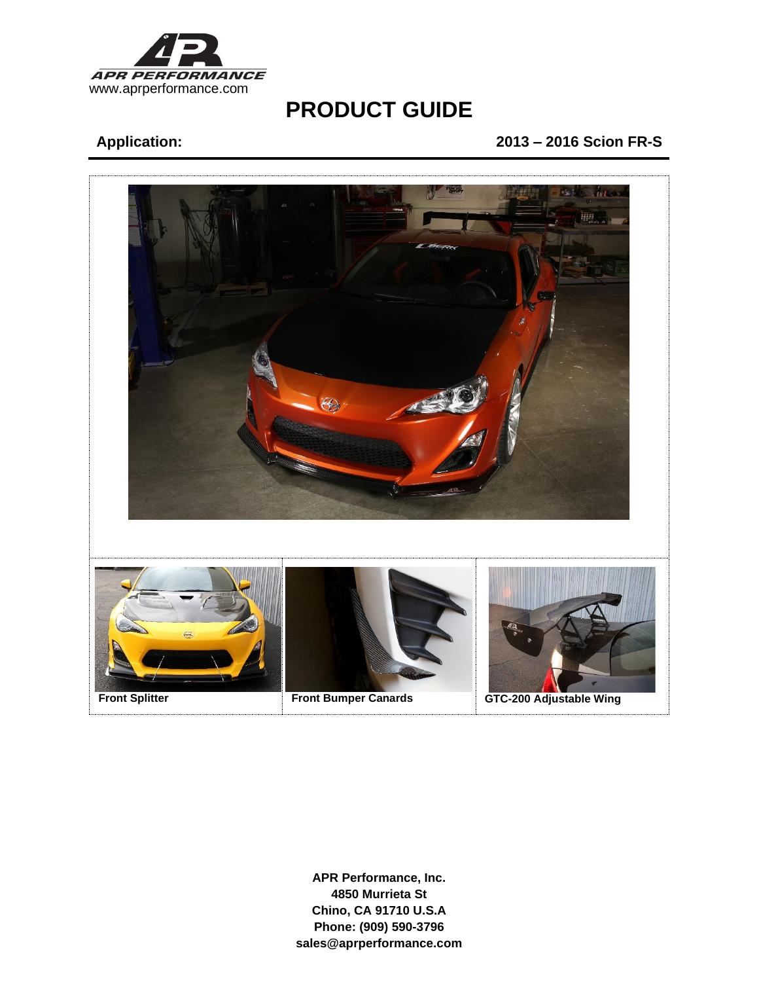

## **Application: 2013 – 2016 Scion FR-S**

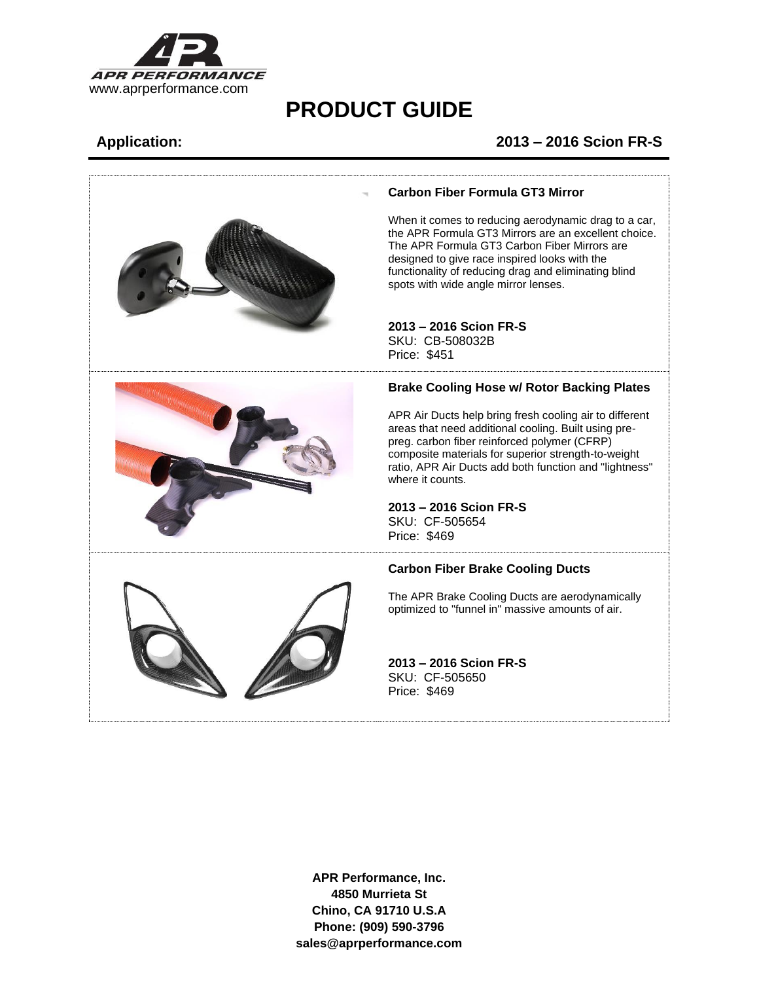

## **Application: 2013 – 2016 Scion FR-S**

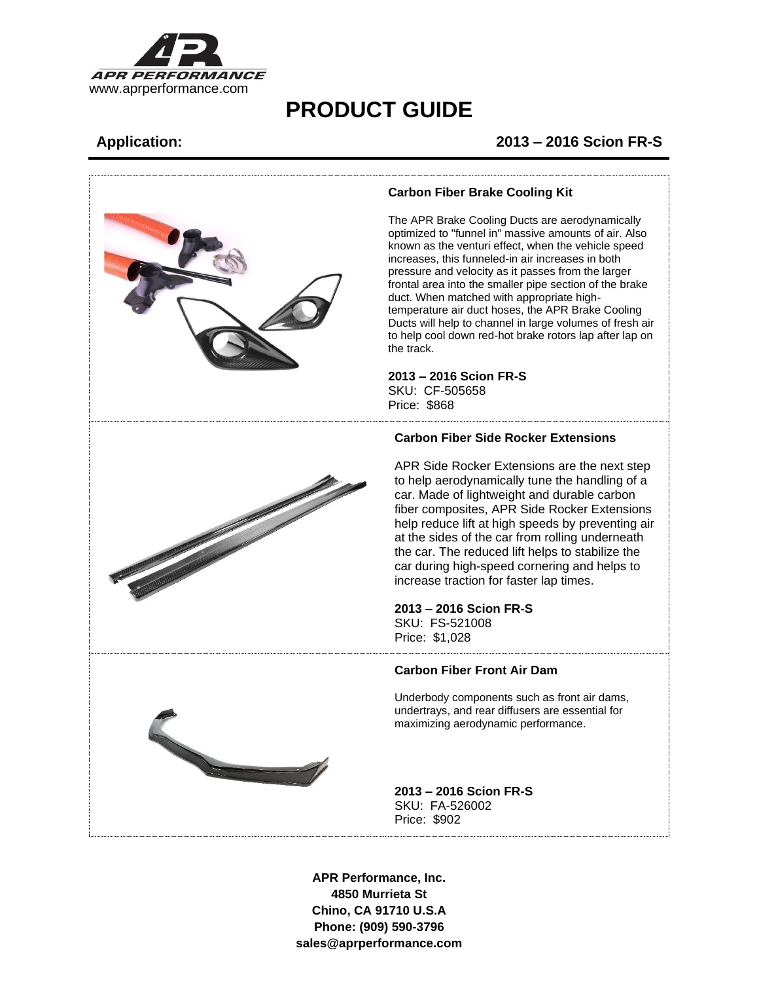

## **Application: 2013 – 2016 Scion FR-S**

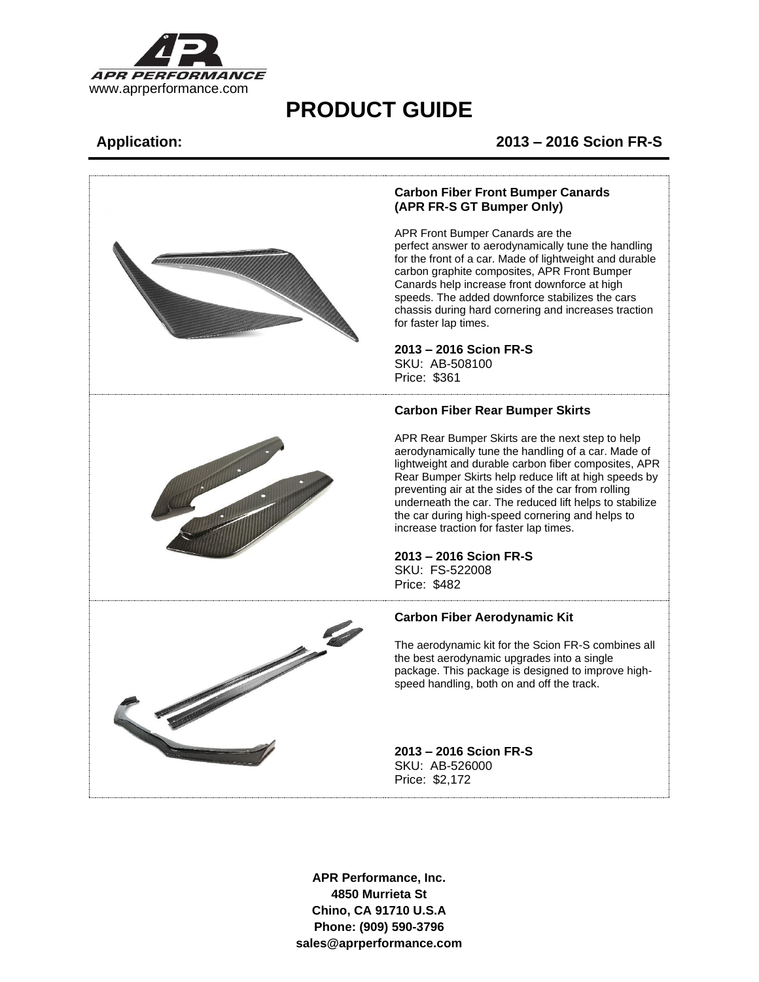

### **Application: 2013 – 2016 Scion FR-S**

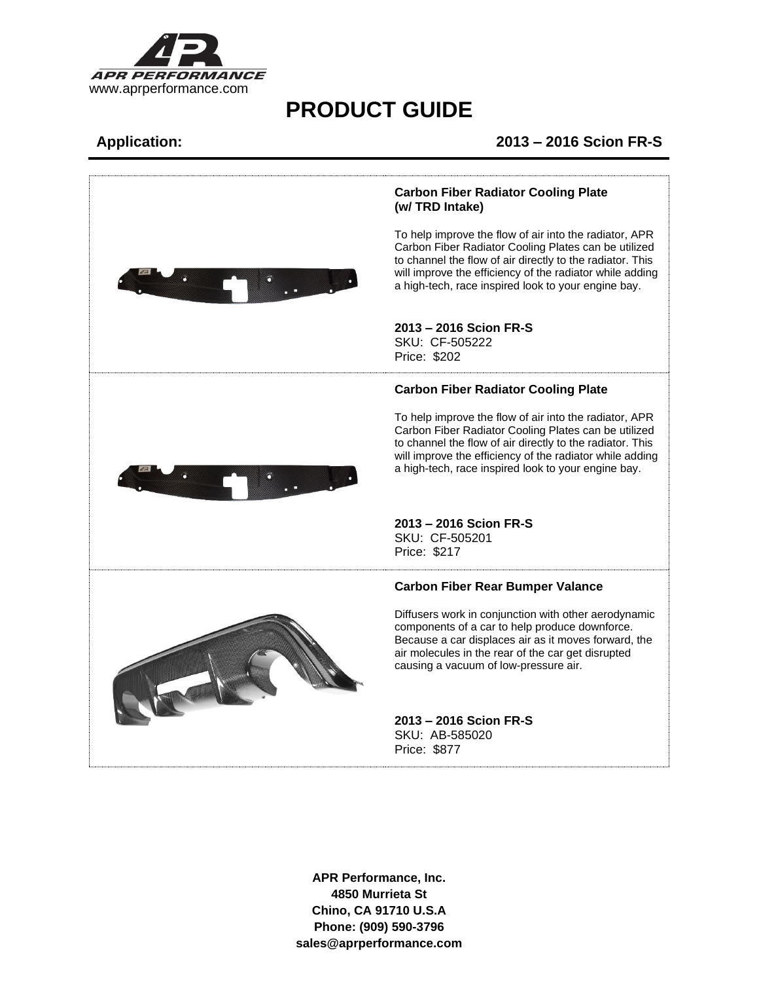

### **Application: 2013 – 2016 Scion FR-S**

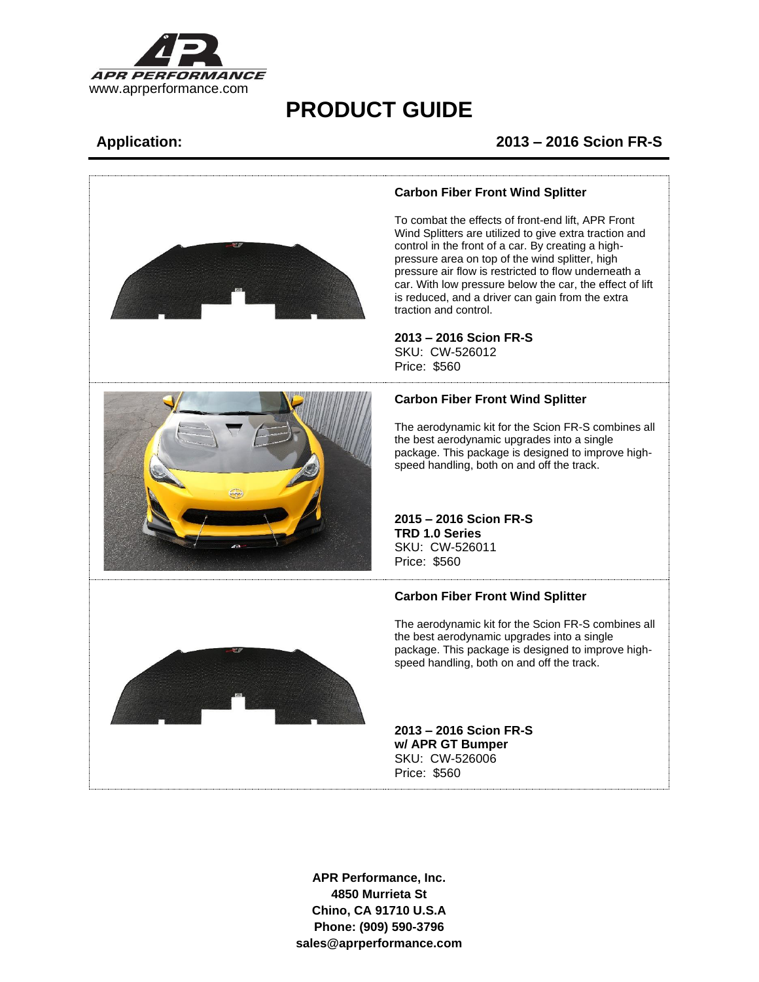

## **Application: 2013 – 2016 Scion FR-S**



### **Carbon Fiber Front Wind Splitter**

To combat the effects of front-end lift, APR Front Wind Splitters are utilized to give extra traction and control in the front of a car. By creating a highpressure area on top of the wind splitter, high pressure air flow is restricted to flow underneath a car. With low pressure below the car, the effect of lift is reduced, and a driver can gain from the extra traction and control.

**2013 – 2016 Scion FR-S** SKU: CW-526012 Price: \$560

### **Carbon Fiber Front Wind Splitter**

The aerodynamic kit for the Scion FR-S combines all the best aerodynamic upgrades into a single package. This package is designed to improve highspeed handling, both on and off the track.

**2015 – 2016 Scion FR-S TRD 1.0 Series** SKU: CW-526011 Price: \$560

### **Carbon Fiber Front Wind Splitter**

The aerodynamic kit for the Scion FR-S combines all the best aerodynamic upgrades into a single package. This package is designed to improve highspeed handling, both on and off the track.

**2013 – 2016 Scion FR-S w/ APR GT Bumper** SKU: CW-526006 Price: \$560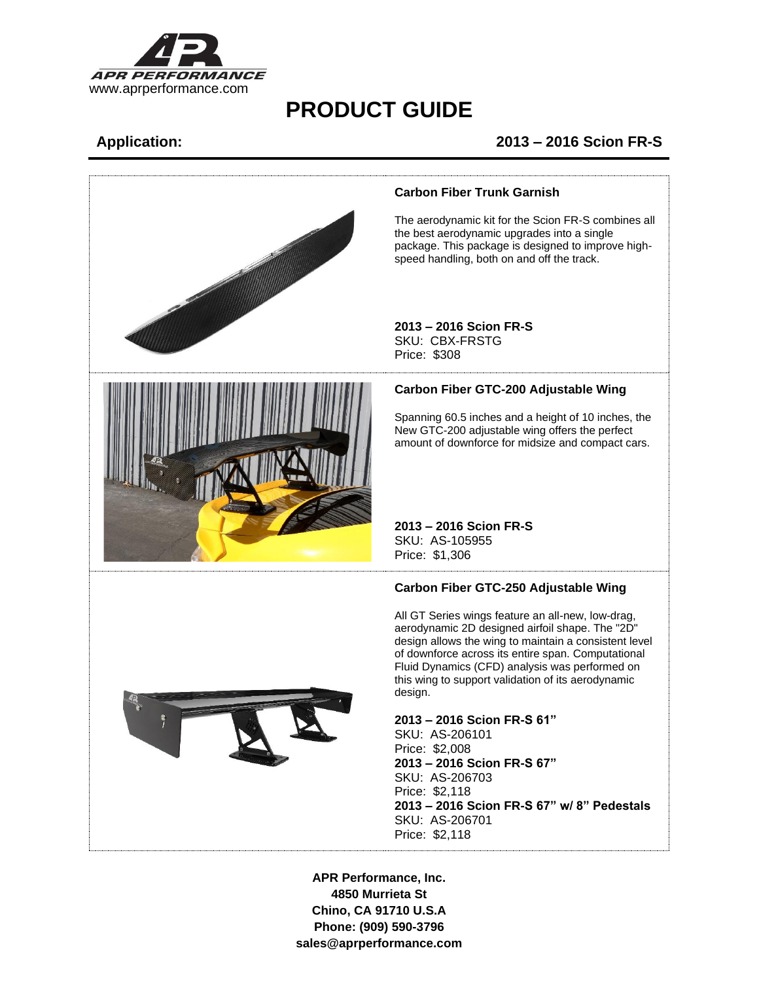

## **Application: 2013 – 2016 Scion FR-S**